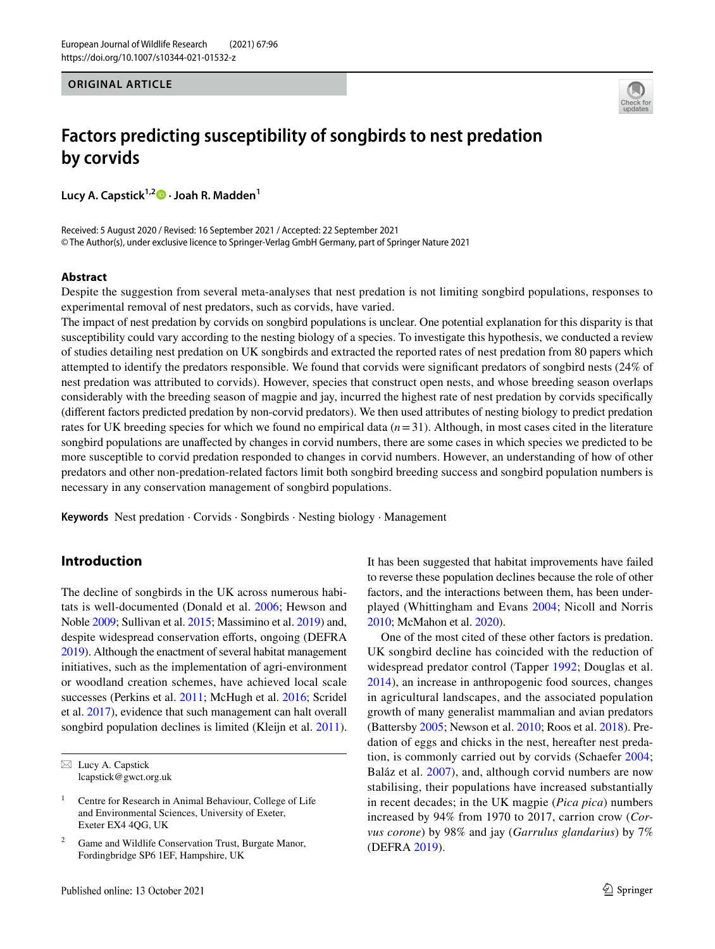#### **ORIGINAL ARTICLE**



# **Factors predicting susceptibility of songbirds to nest predation by corvids**

**Lucy A. Capstick1,[2](http://orcid.org/0000-0002-0514-5554) · Joah R. Madden1**

Received: 5 August 2020 / Revised: 16 September 2021 / Accepted: 22 September 2021 © The Author(s), under exclusive licence to Springer-Verlag GmbH Germany, part of Springer Nature 2021

### **Abstract**

Despite the suggestion from several meta-analyses that nest predation is not limiting songbird populations, responses to experimental removal of nest predators, such as corvids, have varied.

The impact of nest predation by corvids on songbird populations is unclear. One potential explanation for this disparity is that susceptibility could vary according to the nesting biology of a species. To investigate this hypothesis, we conducted a review of studies detailing nest predation on UK songbirds and extracted the reported rates of nest predation from 80 papers which attempted to identify the predators responsible. We found that corvids were signifcant predators of songbird nests (24% of nest predation was attributed to corvids). However, species that construct open nests, and whose breeding season overlaps considerably with the breeding season of magpie and jay, incurred the highest rate of nest predation by corvids specifcally (diferent factors predicted predation by non-corvid predators). We then used attributes of nesting biology to predict predation rates for UK breeding species for which we found no empirical data (*n*=31). Although, in most cases cited in the literature songbird populations are unafected by changes in corvid numbers, there are some cases in which species we predicted to be more susceptible to corvid predation responded to changes in corvid numbers. However, an understanding of how of other predators and other non-predation-related factors limit both songbird breeding success and songbird population numbers is necessary in any conservation management of songbird populations.

**Keywords** Nest predation · Corvids · Songbirds · Nesting biology · Management

# **Introduction**

The decline of songbirds in the UK across numerous habitats is well-documented (Donald et al. [2006;](#page-11-0) Hewson and Noble [2009;](#page-11-1) Sullivan et al. [2015](#page-12-0); Massimino et al. [2019\)](#page-12-1) and, despite widespread conservation eforts, ongoing (DEFRA [2019](#page-11-2)). Although the enactment of several habitat management initiatives, such as the implementation of agri-environment or woodland creation schemes, have achieved local scale successes (Perkins et al. [2011;](#page-12-2) McHugh et al. [2016](#page-12-3); Scridel et al. [2017](#page-12-4)), evidence that such management can halt overall songbird population declines is limited (Kleijn et al. [2011](#page-12-5)).

It has been suggested that habitat improvements have failed to reverse these population declines because the role of other factors, and the interactions between them, has been underplayed (Whittingham and Evans [2004](#page-13-0); Nicoll and Norris [2010;](#page-12-6) McMahon et al. [2020\)](#page-12-7).

One of the most cited of these other factors is predation. UK songbird decline has coincided with the reduction of widespread predator control (Tapper [1992;](#page-12-8) Douglas et al. [2014](#page-11-3)), an increase in anthropogenic food sources, changes in agricultural landscapes, and the associated population growth of many generalist mammalian and avian predators (Battersby [2005;](#page-10-0) Newson et al. [2010;](#page-12-9) Roos et al. [2018\)](#page-12-10). Predation of eggs and chicks in the nest, hereafter nest predation, is commonly carried out by corvids (Schaefer [2004](#page-12-11); Baláz et al. [2007](#page-10-1)), and, although corvid numbers are now stabilising, their populations have increased substantially in recent decades; in the UK magpie (*Pica pica*) numbers increased by 94% from 1970 to 2017, carrion crow (*Corvus corone*) by 98% and jay (*Garrulus glandarius*) by 7% (DEFRA [2019](#page-11-2)).

 $\boxtimes$  Lucy A. Capstick lcapstick@gwct.org.uk

<sup>&</sup>lt;sup>1</sup> Centre for Research in Animal Behaviour, College of Life and Environmental Sciences, University of Exeter, Exeter EX4 4QG, UK

Game and Wildlife Conservation Trust, Burgate Manor, Fordingbridge SP6 1EF, Hampshire, UK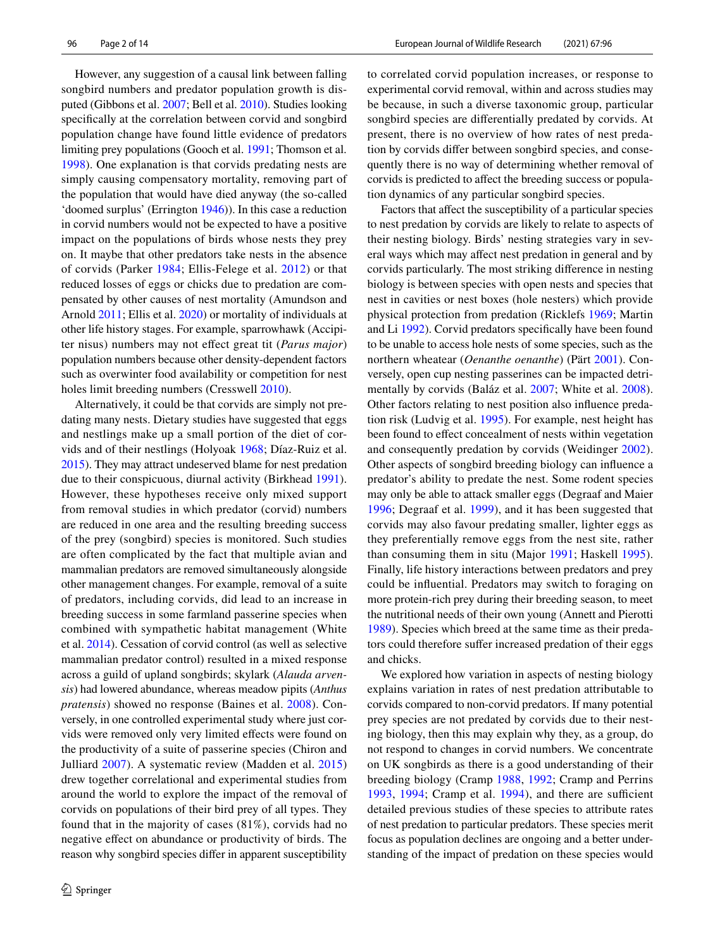However, any suggestion of a causal link between falling songbird numbers and predator population growth is disputed (Gibbons et al. [2007](#page-11-4); Bell et al. [2010\)](#page-10-2). Studies looking specifcally at the correlation between corvid and songbird population change have found little evidence of predators limiting prey populations (Gooch et al. [1991;](#page-11-5) Thomson et al. [1998](#page-13-1)). One explanation is that corvids predating nests are simply causing compensatory mortality, removing part of the population that would have died anyway (the so-called 'doomed surplus' (Errington [1946\)](#page-11-6)). In this case a reduction in corvid numbers would not be expected to have a positive impact on the populations of birds whose nests they prey on. It maybe that other predators take nests in the absence of corvids (Parker [1984;](#page-12-12) Ellis-Felege et al. [2012](#page-11-7)) or that reduced losses of eggs or chicks due to predation are compensated by other causes of nest mortality (Amundson and Arnold [2011;](#page-10-3) Ellis et al. [2020](#page-11-8)) or mortality of individuals at other life history stages. For example, sparrowhawk (Accipiter nisus) numbers may not efect great tit (*Parus major*) population numbers because other density-dependent factors such as overwinter food availability or competition for nest holes limit breeding numbers (Cresswell [2010](#page-11-9)).

Alternatively, it could be that corvids are simply not predating many nests. Dietary studies have suggested that eggs and nestlings make up a small portion of the diet of corvids and of their nestlings (Holyoak [1968;](#page-11-10) Díaz-Ruiz et al. [2015\)](#page-11-11). They may attract undeserved blame for nest predation due to their conspicuous, diurnal activity (Birkhead [1991](#page-10-4)). However, these hypotheses receive only mixed support from removal studies in which predator (corvid) numbers are reduced in one area and the resulting breeding success of the prey (songbird) species is monitored. Such studies are often complicated by the fact that multiple avian and mammalian predators are removed simultaneously alongside other management changes. For example, removal of a suite of predators, including corvids, did lead to an increase in breeding success in some farmland passerine species when combined with sympathetic habitat management (White et al. [2014](#page-13-2)). Cessation of corvid control (as well as selective mammalian predator control) resulted in a mixed response across a guild of upland songbirds; skylark (*Alauda arvensis*) had lowered abundance, whereas meadow pipits (*Anthus pratensis*) showed no response (Baines et al. [2008\)](#page-10-5). Conversely, in one controlled experimental study where just corvids were removed only very limited efects were found on the productivity of a suite of passerine species (Chiron and Julliard [2007](#page-11-12)). A systematic review (Madden et al. [2015\)](#page-12-13) drew together correlational and experimental studies from around the world to explore the impact of the removal of corvids on populations of their bird prey of all types. They found that in the majority of cases (81%), corvids had no negative efect on abundance or productivity of birds. The reason why songbird species difer in apparent susceptibility to correlated corvid population increases, or response to experimental corvid removal, within and across studies may be because, in such a diverse taxonomic group, particular songbird species are diferentially predated by corvids. At present, there is no overview of how rates of nest predation by corvids difer between songbird species, and consequently there is no way of determining whether removal of corvids is predicted to afect the breeding success or population dynamics of any particular songbird species.

Factors that affect the susceptibility of a particular species to nest predation by corvids are likely to relate to aspects of their nesting biology. Birds' nesting strategies vary in several ways which may afect nest predation in general and by corvids particularly. The most striking diference in nesting biology is between species with open nests and species that nest in cavities or nest boxes (hole nesters) which provide physical protection from predation (Ricklefs [1969;](#page-12-14) Martin and Li [1992\)](#page-12-15). Corvid predators specifcally have been found to be unable to access hole nests of some species, such as the northern wheatear (*Oenanthe oenanthe*) (Pärt [2001](#page-12-16)). Conversely, open cup nesting passerines can be impacted detrimentally by corvids (Baláz et al. [2007](#page-10-1); White et al. [2008](#page-13-3)). Other factors relating to nest position also infuence predation risk (Ludvig et al. [1995](#page-12-17)). For example, nest height has been found to effect concealment of nests within vegetation and consequently predation by corvids (Weidinger [2002](#page-13-4)). Other aspects of songbird breeding biology can infuence a predator's ability to predate the nest. Some rodent species may only be able to attack smaller eggs (Degraaf and Maier [1996;](#page-11-13) Degraaf et al. [1999\)](#page-11-14), and it has been suggested that corvids may also favour predating smaller, lighter eggs as they preferentially remove eggs from the nest site, rather than consuming them in situ (Major [1991](#page-12-18); Haskell [1995](#page-11-15)). Finally, life history interactions between predators and prey could be infuential. Predators may switch to foraging on more protein-rich prey during their breeding season, to meet the nutritional needs of their own young (Annett and Pierotti [1989](#page-10-6)). Species which breed at the same time as their predators could therefore suffer increased predation of their eggs and chicks.

We explored how variation in aspects of nesting biology explains variation in rates of nest predation attributable to corvids compared to non-corvid predators. If many potential prey species are not predated by corvids due to their nesting biology, then this may explain why they, as a group, do not respond to changes in corvid numbers. We concentrate on UK songbirds as there is a good understanding of their breeding biology (Cramp [1988](#page-11-16), [1992](#page-11-17); Cramp and Perrins [1993,](#page-11-18) [1994;](#page-11-19) Cramp et al.  $1994$ ), and there are sufficient detailed previous studies of these species to attribute rates of nest predation to particular predators. These species merit focus as population declines are ongoing and a better understanding of the impact of predation on these species would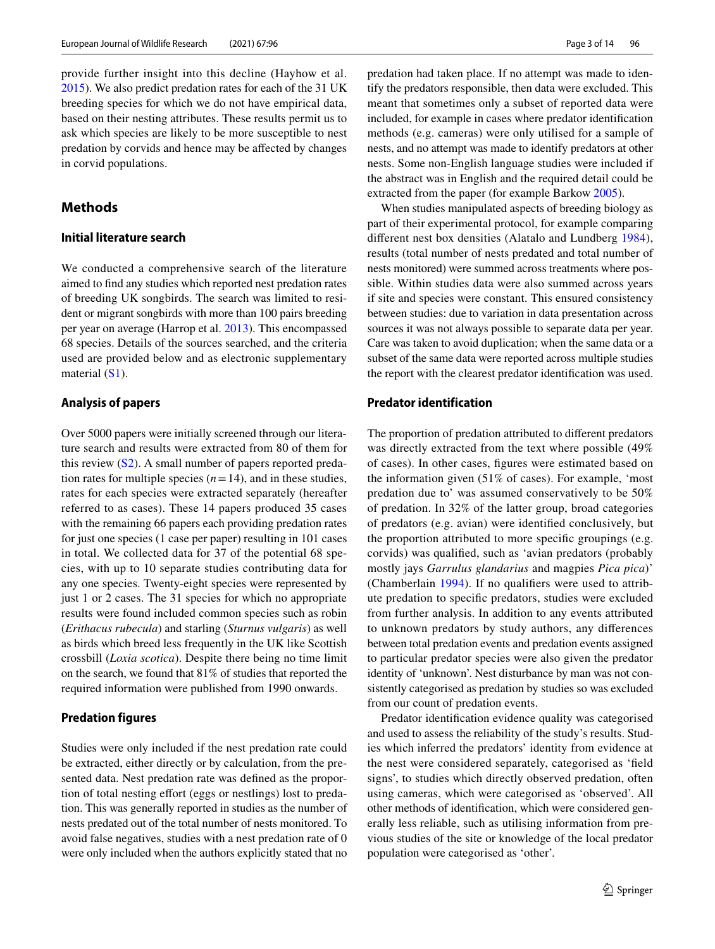provide further insight into this decline (Hayhow et al. [2015\)](#page-11-21). We also predict predation rates for each of the 31 UK breeding species for which we do not have empirical data, based on their nesting attributes. These results permit us to ask which species are likely to be more susceptible to nest predation by corvids and hence may be afected by changes in corvid populations.

# **Methods**

## **Initial literature search**

We conducted a comprehensive search of the literature aimed to fnd any studies which reported nest predation rates of breeding UK songbirds. The search was limited to resident or migrant songbirds with more than 100 pairs breeding per year on average (Harrop et al. [2013](#page-11-22)). This encompassed 68 species. Details of the sources searched, and the criteria used are provided below and as electronic supplementary material (S1).

#### **Analysis of papers**

Over 5000 papers were initially screened through our literature search and results were extracted from 80 of them for this review  $(S2)$ . A small number of papers reported predation rates for multiple species  $(n=14)$ , and in these studies, rates for each species were extracted separately (hereafter referred to as cases). These 14 papers produced 35 cases with the remaining 66 papers each providing predation rates for just one species (1 case per paper) resulting in 101 cases in total. We collected data for 37 of the potential 68 species, with up to 10 separate studies contributing data for any one species. Twenty-eight species were represented by just 1 or 2 cases. The 31 species for which no appropriate results were found included common species such as robin (*Erithacus rubecula*) and starling (*Sturnus vulgaris*) as well as birds which breed less frequently in the UK like Scottish crossbill (*Loxia scotica*). Despite there being no time limit on the search, we found that 81% of studies that reported the required information were published from 1990 onwards.

#### **Predation figures**

Studies were only included if the nest predation rate could be extracted, either directly or by calculation, from the presented data. Nest predation rate was defned as the proportion of total nesting effort (eggs or nestlings) lost to predation. This was generally reported in studies as the number of nests predated out of the total number of nests monitored. To avoid false negatives, studies with a nest predation rate of 0 were only included when the authors explicitly stated that no predation had taken place. If no attempt was made to identify the predators responsible, then data were excluded. This meant that sometimes only a subset of reported data were included, for example in cases where predator identifcation methods (e.g. cameras) were only utilised for a sample of nests, and no attempt was made to identify predators at other nests. Some non-English language studies were included if the abstract was in English and the required detail could be extracted from the paper (for example Barkow [2005\)](#page-10-7).

When studies manipulated aspects of breeding biology as part of their experimental protocol, for example comparing diferent nest box densities (Alatalo and Lundberg [1984](#page-10-8)), results (total number of nests predated and total number of nests monitored) were summed across treatments where possible. Within studies data were also summed across years if site and species were constant. This ensured consistency between studies: due to variation in data presentation across sources it was not always possible to separate data per year. Care was taken to avoid duplication; when the same data or a subset of the same data were reported across multiple studies the report with the clearest predator identifcation was used.

#### **Predator identification**

The proportion of predation attributed to diferent predators was directly extracted from the text where possible (49% of cases). In other cases, fgures were estimated based on the information given (51% of cases). For example, 'most predation due to' was assumed conservatively to be 50% of predation. In 32% of the latter group, broad categories of predators (e.g. avian) were identifed conclusively, but the proportion attributed to more specifc groupings (e.g. corvids) was qualifed, such as 'avian predators (probably mostly jays *Garrulus glandarius* and magpies *Pica pica*)' (Chamberlain [1994](#page-11-23)). If no qualifers were used to attribute predation to specifc predators, studies were excluded from further analysis. In addition to any events attributed to unknown predators by study authors, any diferences between total predation events and predation events assigned to particular predator species were also given the predator identity of 'unknown'. Nest disturbance by man was not consistently categorised as predation by studies so was excluded from our count of predation events.

Predator identifcation evidence quality was categorised and used to assess the reliability of the study's results. Studies which inferred the predators' identity from evidence at the nest were considered separately, categorised as 'feld signs', to studies which directly observed predation, often using cameras, which were categorised as 'observed'. All other methods of identifcation, which were considered generally less reliable, such as utilising information from previous studies of the site or knowledge of the local predator population were categorised as 'other'.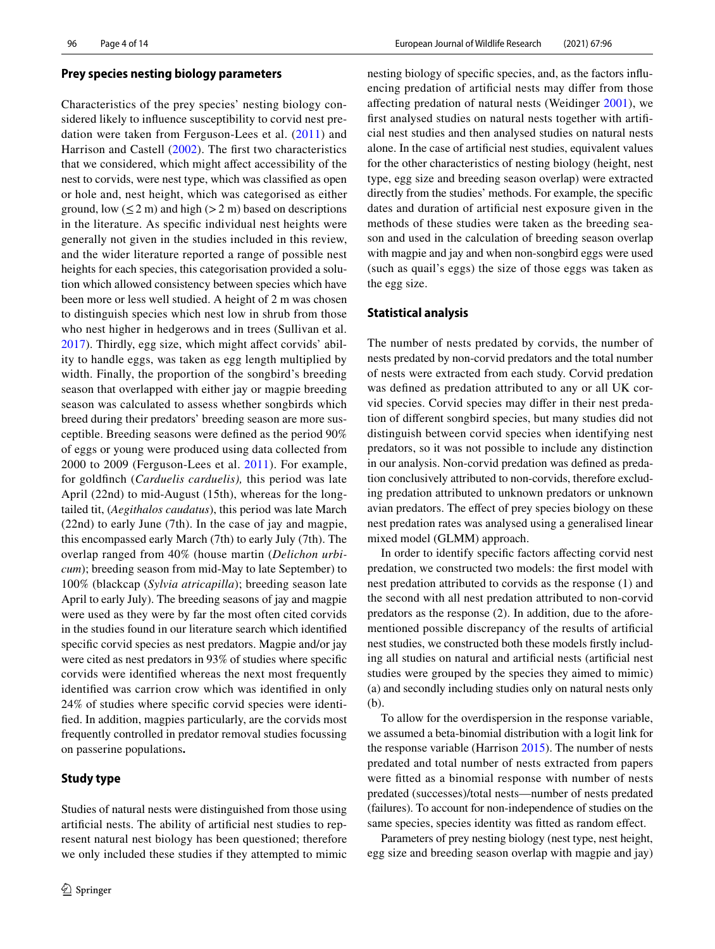#### **Prey species nesting biology parameters**

Characteristics of the prey species' nesting biology considered likely to infuence susceptibility to corvid nest predation were taken from Ferguson-Lees et al. ([2011](#page-11-24)) and Harrison and Castell ([2002](#page-11-25)). The frst two characteristics that we considered, which might afect accessibility of the nest to corvids, were nest type, which was classifed as open or hole and, nest height, which was categorised as either ground, low  $(\leq 2 \text{ m})$  and high  $(>2 \text{ m})$  based on descriptions in the literature. As specifc individual nest heights were generally not given in the studies included in this review, and the wider literature reported a range of possible nest heights for each species, this categorisation provided a solution which allowed consistency between species which have been more or less well studied. A height of 2 m was chosen to distinguish species which nest low in shrub from those who nest higher in hedgerows and in trees (Sullivan et al. [2017](#page-12-19)). Thirdly, egg size, which might afect corvids' ability to handle eggs, was taken as egg length multiplied by width. Finally, the proportion of the songbird's breeding season that overlapped with either jay or magpie breeding season was calculated to assess whether songbirds which breed during their predators' breeding season are more susceptible. Breeding seasons were defned as the period 90% of eggs or young were produced using data collected from 2000 to 2009 (Ferguson-Lees et al. [2011](#page-11-24)). For example, for goldfnch (*Carduelis carduelis),* this period was late April (22nd) to mid-August (15th), whereas for the longtailed tit, (*Aegithalos caudatus*), this period was late March (22nd) to early June (7th). In the case of jay and magpie, this encompassed early March (7th) to early July (7th). The overlap ranged from 40% (house martin (*Delichon urbicum*); breeding season from mid-May to late September) to 100% (blackcap (*Sylvia atricapilla*); breeding season late April to early July). The breeding seasons of jay and magpie were used as they were by far the most often cited corvids in the studies found in our literature search which identifed specifc corvid species as nest predators. Magpie and/or jay were cited as nest predators in 93% of studies where specifc corvids were identifed whereas the next most frequently identifed was carrion crow which was identifed in only 24% of studies where specifc corvid species were identifed. In addition, magpies particularly, are the corvids most frequently controlled in predator removal studies focussing on passerine populations**.**

## **Study type**

Studies of natural nests were distinguished from those using artifcial nests. The ability of artifcial nest studies to represent natural nest biology has been questioned; therefore we only included these studies if they attempted to mimic nesting biology of specifc species, and, as the factors infuencing predation of artifcial nests may difer from those afecting predation of natural nests (Weidinger [2001\)](#page-13-5), we frst analysed studies on natural nests together with artifcial nest studies and then analysed studies on natural nests alone. In the case of artifcial nest studies, equivalent values for the other characteristics of nesting biology (height, nest type, egg size and breeding season overlap) were extracted directly from the studies' methods. For example, the specifc dates and duration of artifcial nest exposure given in the methods of these studies were taken as the breeding season and used in the calculation of breeding season overlap with magpie and jay and when non-songbird eggs were used (such as quail's eggs) the size of those eggs was taken as the egg size.

#### **Statistical analysis**

The number of nests predated by corvids, the number of nests predated by non-corvid predators and the total number of nests were extracted from each study. Corvid predation was defned as predation attributed to any or all UK corvid species. Corvid species may difer in their nest predation of diferent songbird species, but many studies did not distinguish between corvid species when identifying nest predators, so it was not possible to include any distinction in our analysis. Non-corvid predation was defned as predation conclusively attributed to non-corvids, therefore excluding predation attributed to unknown predators or unknown avian predators. The effect of prey species biology on these nest predation rates was analysed using a generalised linear mixed model (GLMM) approach.

In order to identify specifc factors afecting corvid nest predation, we constructed two models: the frst model with nest predation attributed to corvids as the response (1) and the second with all nest predation attributed to non-corvid predators as the response (2). In addition, due to the aforementioned possible discrepancy of the results of artifcial nest studies, we constructed both these models frstly including all studies on natural and artifcial nests (artifcial nest studies were grouped by the species they aimed to mimic) (a) and secondly including studies only on natural nests only (b).

To allow for the overdispersion in the response variable, we assumed a beta-binomial distribution with a logit link for the response variable (Harrison [2015](#page-11-26)). The number of nests predated and total number of nests extracted from papers were ftted as a binomial response with number of nests predated (successes)/total nests—number of nests predated (failures). To account for non-independence of studies on the same species, species identity was ftted as random efect.

Parameters of prey nesting biology (nest type, nest height, egg size and breeding season overlap with magpie and jay)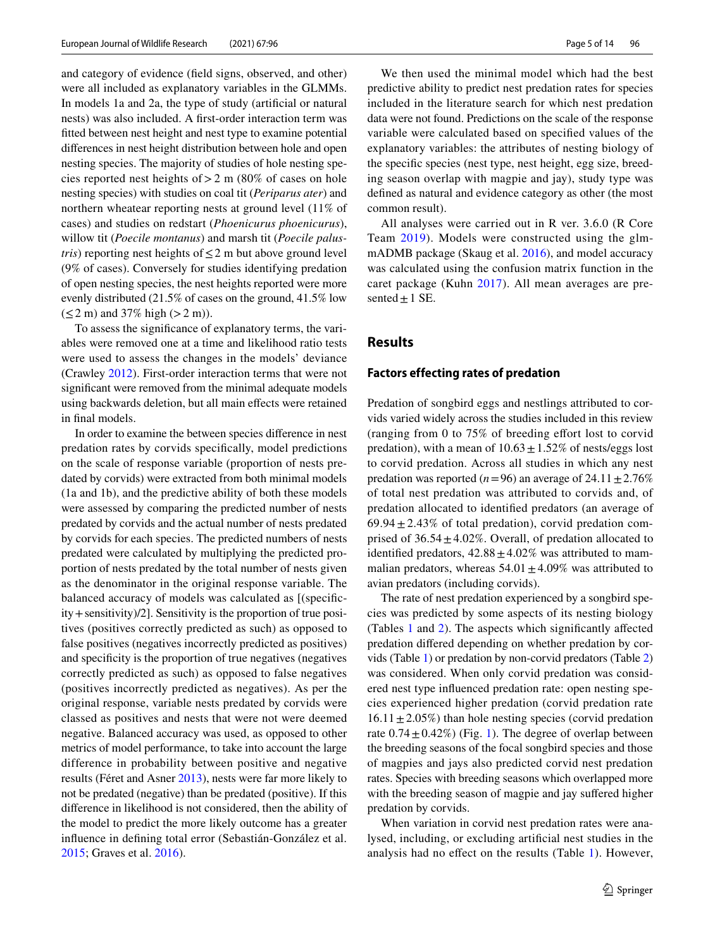and category of evidence (feld signs, observed, and other) were all included as explanatory variables in the GLMMs. In models 1a and 2a, the type of study (artifcial or natural nests) was also included. A frst-order interaction term was ftted between nest height and nest type to examine potential diferences in nest height distribution between hole and open nesting species. The majority of studies of hole nesting species reported nest heights of  $> 2$  m (80% of cases on hole nesting species) with studies on coal tit (*Periparus ater*) and northern wheatear reporting nests at ground level (11% of cases) and studies on redstart (*Phoenicurus phoenicurus*), willow tit (*Poecile montanus*) and marsh tit (*Poecile palustris*) reporting nest heights of  $\leq 2$  m but above ground level (9% of cases). Conversely for studies identifying predation of open nesting species, the nest heights reported were more evenly distributed (21.5% of cases on the ground, 41.5% low  $(\leq 2 \text{ m})$  and 37% high  $(> 2 \text{ m})$ ).

To assess the signifcance of explanatory terms, the variables were removed one at a time and likelihood ratio tests were used to assess the changes in the models' deviance (Crawley [2012\)](#page-11-27). First-order interaction terms that were not signifcant were removed from the minimal adequate models using backwards deletion, but all main efects were retained in final models.

In order to examine the between species diference in nest predation rates by corvids specifcally, model predictions on the scale of response variable (proportion of nests predated by corvids) were extracted from both minimal models (1a and 1b), and the predictive ability of both these models were assessed by comparing the predicted number of nests predated by corvids and the actual number of nests predated by corvids for each species. The predicted numbers of nests predated were calculated by multiplying the predicted proportion of nests predated by the total number of nests given as the denominator in the original response variable. The balanced accuracy of models was calculated as [(specifcity+sensitivity)/2]. Sensitivity is the proportion of true positives (positives correctly predicted as such) as opposed to false positives (negatives incorrectly predicted as positives) and specifcity is the proportion of true negatives (negatives correctly predicted as such) as opposed to false negatives (positives incorrectly predicted as negatives). As per the original response, variable nests predated by corvids were classed as positives and nests that were not were deemed negative. Balanced accuracy was used, as opposed to other metrics of model performance, to take into account the large difference in probability between positive and negative results (Féret and Asner [2013\)](#page-11-28), nests were far more likely to not be predated (negative) than be predated (positive). If this diference in likelihood is not considered, then the ability of the model to predict the more likely outcome has a greater infuence in defning total error (Sebastián-González et al. [2015](#page-12-20); Graves et al. [2016](#page-11-29)).

We then used the minimal model which had the best predictive ability to predict nest predation rates for species included in the literature search for which nest predation data were not found. Predictions on the scale of the response variable were calculated based on specifed values of the explanatory variables: the attributes of nesting biology of the specifc species (nest type, nest height, egg size, breeding season overlap with magpie and jay), study type was defned as natural and evidence category as other (the most common result).

All analyses were carried out in R ver. 3.6.0 (R Core Team [2019](#page-12-21)). Models were constructed using the glmmADMB package (Skaug et al. [2016](#page-12-22)), and model accuracy was calculated using the confusion matrix function in the caret package (Kuhn [2017\)](#page-12-23). All mean averages are presented  $\pm$  1 SE.

## **Results**

#### **Factors effecting rates of predation**

Predation of songbird eggs and nestlings attributed to corvids varied widely across the studies included in this review (ranging from 0 to 75% of breeding efort lost to corvid predation), with a mean of  $10.63 \pm 1.52\%$  of nests/eggs lost to corvid predation. Across all studies in which any nest predation was reported ( $n=96$ ) an average of  $24.11 \pm 2.76\%$ of total nest predation was attributed to corvids and, of predation allocated to identifed predators (an average of 69.94 $\pm$ 2.43% of total predation), corvid predation comprised of  $36.54 \pm 4.02\%$ . Overall, of predation allocated to identified predators,  $42.88 \pm 4.02\%$  was attributed to mammalian predators, whereas  $54.01 \pm 4.09\%$  was attributed to avian predators (including corvids).

The rate of nest predation experienced by a songbird species was predicted by some aspects of its nesting biology (Tables [1](#page-5-0) and [2](#page-5-1)). The aspects which signifcantly afected predation difered depending on whether predation by corvids (Table [1](#page-5-0)) or predation by non-corvid predators (Table [2\)](#page-5-1) was considered. When only corvid predation was considered nest type infuenced predation rate: open nesting species experienced higher predation (corvid predation rate  $16.11 \pm 2.05\%$ ) than hole nesting species (corvid predation rate  $0.74 \pm 0.42\%$ ) (Fig. [1\)](#page-6-0). The degree of overlap between the breeding seasons of the focal songbird species and those of magpies and jays also predicted corvid nest predation rates. Species with breeding seasons which overlapped more with the breeding season of magpie and jay sufered higher predation by corvids.

When variation in corvid nest predation rates were analysed, including, or excluding artifcial nest studies in the analysis had no efect on the results (Table [1\)](#page-5-0). However,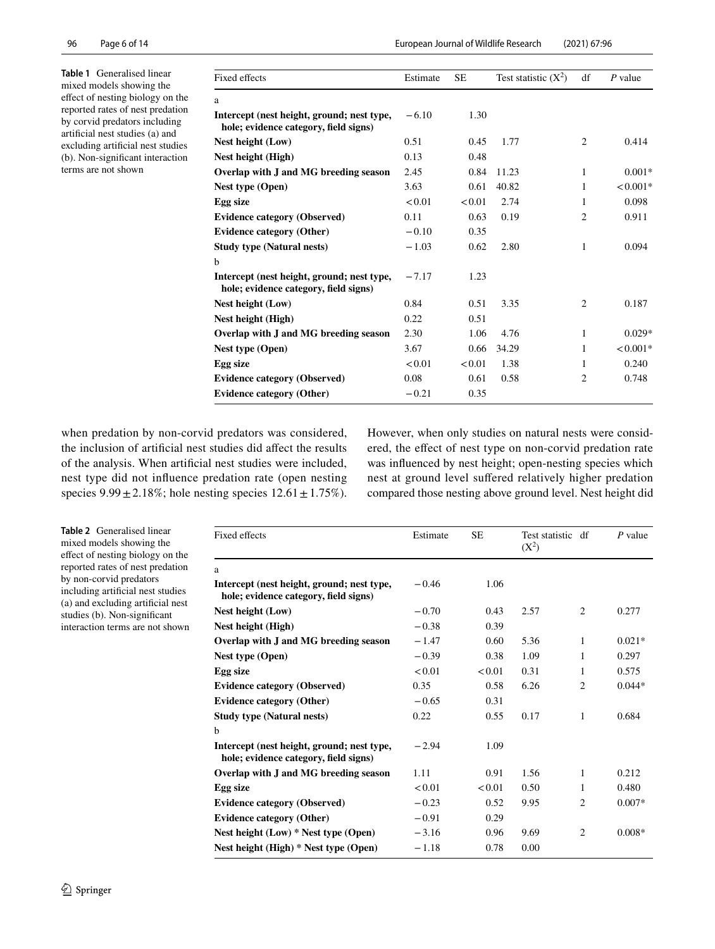<span id="page-5-0"></span>**Table 1** Generalised linear mixed models showing the efect of nesting biology on the reported rates of nest predation by corvid predators including artifcial nest studies (a) and excluding artifcial nest studies (b). Non-signifcant interaction terms are not shown

| )71' | 67:96 ( |
|------|---------|
|      |         |
|      |         |

| Fixed effects                                                                       | Estimate | SЕ     | Test statistic $(X^2)$ | df             | $P$ value  |
|-------------------------------------------------------------------------------------|----------|--------|------------------------|----------------|------------|
| a                                                                                   |          |        |                        |                |            |
| Intercept (nest height, ground; nest type,<br>hole; evidence category, field signs) | $-6.10$  | 1.30   |                        |                |            |
| Nest height (Low)                                                                   | 0.51     | 0.45   | 1.77                   | $\mathfrak{2}$ | 0.414      |
| Nest height (High)                                                                  | 0.13     | 0.48   |                        |                |            |
| Overlap with J and MG breeding season                                               | 2.45     | 0.84   | 11.23                  | 1              | $0.001*$   |
| Nest type (Open)                                                                    | 3.63     | 0.61   | 40.82                  | 1              | $< 0.001*$ |
| Egg size                                                                            | < 0.01   | < 0.01 | 2.74                   | 1              | 0.098      |
| <b>Evidence category (Observed)</b>                                                 | 0.11     | 0.63   | 0.19                   | $\overline{2}$ | 0.911      |
| <b>Evidence category (Other)</b>                                                    | $-0.10$  | 0.35   |                        |                |            |
| <b>Study type (Natural nests)</b>                                                   | $-1.03$  | 0.62   | 2.80                   | 1              | 0.094      |
| $\mathbf b$                                                                         |          |        |                        |                |            |
| Intercept (nest height, ground; nest type,<br>hole; evidence category, field signs) | $-7.17$  | 1.23   |                        |                |            |
| Nest height (Low)                                                                   | 0.84     | 0.51   | 3.35                   | $\overline{c}$ | 0.187      |
| Nest height (High)                                                                  | 0.22     | 0.51   |                        |                |            |
| Overlap with J and MG breeding season                                               | 2.30     | 1.06   | 4.76                   | 1              | $0.029*$   |
| Nest type (Open)                                                                    | 3.67     | 0.66   | 34.29                  | 1              | $< 0.001*$ |
| Egg size                                                                            | < 0.01   | < 0.01 | 1.38                   | 1              | 0.240      |
| <b>Evidence category (Observed)</b>                                                 | 0.08     | 0.61   | 0.58                   | 2              | 0.748      |
| <b>Evidence category (Other)</b>                                                    | $-0.21$  | 0.35   |                        |                |            |

when predation by non-corvid predators was considered, the inclusion of artifcial nest studies did afect the results of the analysis. When artifcial nest studies were included, nest type did not infuence predation rate (open nesting species  $9.99 \pm 2.18\%$ ; hole nesting species  $12.61 \pm 1.75\%$ ). However, when only studies on natural nests were considered, the efect of nest type on non-corvid predation rate was infuenced by nest height; open-nesting species which nest at ground level sufered relatively higher predation compared those nesting above ground level. Nest height did

<span id="page-5-1"></span>**Table 2** Generalised linear mixed models showing the efect of nesting biology on the reported rates of nest predation by non-corvid predators including artifcial nest studies (a) and excluding artifcial nest studies (b). Non-signifcant interaction terms are not shown

| Fixed effects                                                                       | Estimate | <b>SE</b> | Test statistic df<br>$(X^2)$ |                | $P$ value |
|-------------------------------------------------------------------------------------|----------|-----------|------------------------------|----------------|-----------|
| a                                                                                   |          |           |                              |                |           |
| Intercept (nest height, ground; nest type,<br>hole; evidence category, field signs) | $-0.46$  | 1.06      |                              |                |           |
| Nest height (Low)                                                                   | $-0.70$  | 0.43      | 2.57                         | $\overline{c}$ | 0.277     |
| Nest height (High)                                                                  | $-0.38$  | 0.39      |                              |                |           |
| Overlap with J and MG breeding season                                               | $-1.47$  | 0.60      | 5.36                         | $\mathbf{1}$   | $0.021*$  |
| Nest type (Open)                                                                    | $-0.39$  | 0.38      | 1.09                         | 1              | 0.297     |
| Egg size                                                                            | < 0.01   | < 0.01    | 0.31                         | 1              | 0.575     |
| <b>Evidence category (Observed)</b>                                                 | 0.35     | 0.58      | 6.26                         | $\overline{2}$ | $0.044*$  |
| <b>Evidence category (Other)</b>                                                    | $-0.65$  | 0.31      |                              |                |           |
| <b>Study type (Natural nests)</b>                                                   | 0.22     | 0.55      | 0.17                         | 1              | 0.684     |
| b                                                                                   |          |           |                              |                |           |
| Intercept (nest height, ground; nest type,<br>hole; evidence category, field signs) | $-2.94$  | 1.09      |                              |                |           |
| Overlap with J and MG breeding season                                               | 1.11     | 0.91      | 1.56                         | 1              | 0.212     |
| Egg size                                                                            | < 0.01   | < 0.01    | 0.50                         | 1              | 0.480     |
| <b>Evidence category (Observed)</b>                                                 | $-0.23$  | 0.52      | 9.95                         | 2              | $0.007*$  |
| <b>Evidence category (Other)</b>                                                    | $-0.91$  | 0.29      |                              |                |           |
| Nest height $(Low)$ * Nest type $(Dpen)$                                            | $-3.16$  | 0.96      | 9.69                         | $\overline{2}$ | $0.008*$  |
| Nest height (High) * Nest type (Open)                                               | $-1.18$  | 0.78      | 0.00                         |                |           |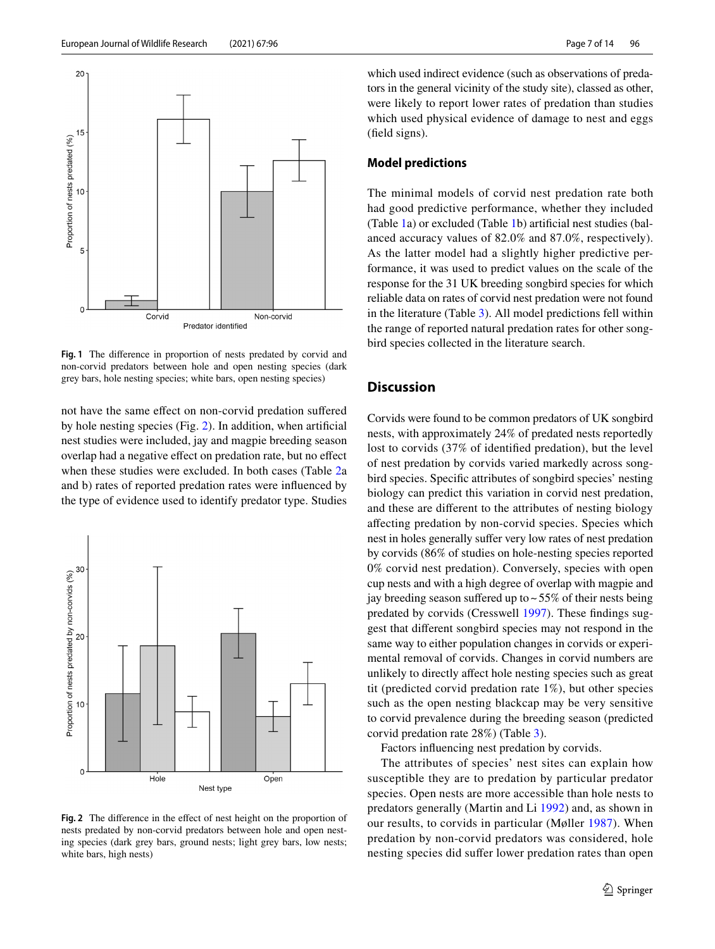

<span id="page-6-0"></span>**Fig. 1** The diference in proportion of nests predated by corvid and non-corvid predators between hole and open nesting species (dark grey bars, hole nesting species; white bars, open nesting species)

not have the same efect on non-corvid predation sufered by hole nesting species (Fig. [2](#page-6-1)). In addition, when artifcial nest studies were included, jay and magpie breeding season overlap had a negative efect on predation rate, but no efect when these studies were excluded. In both cases (Table [2a](#page-5-1) and b) rates of reported predation rates were infuenced by the type of evidence used to identify predator type. Studies



<span id="page-6-1"></span>**Fig. 2** The diference in the efect of nest height on the proportion of nests predated by non-corvid predators between hole and open nesting species (dark grey bars, ground nests; light grey bars, low nests; white bars, high nests)

which used indirect evidence (such as observations of predators in the general vicinity of the study site), classed as other, were likely to report lower rates of predation than studies which used physical evidence of damage to nest and eggs (feld signs).

## **Model predictions**

The minimal models of corvid nest predation rate both had good predictive performance, whether they included (Table [1](#page-5-0)a) or excluded (Table [1b](#page-5-0)) artifcial nest studies (balanced accuracy values of 82.0% and 87.0%, respectively). As the latter model had a slightly higher predictive performance, it was used to predict values on the scale of the response for the 31 UK breeding songbird species for which reliable data on rates of corvid nest predation were not found in the literature (Table [3\)](#page-7-0). All model predictions fell within the range of reported natural predation rates for other songbird species collected in the literature search.

# **Discussion**

Corvids were found to be common predators of UK songbird nests, with approximately 24% of predated nests reportedly lost to corvids (37% of identifed predation), but the level of nest predation by corvids varied markedly across songbird species. Specifc attributes of songbird species' nesting biology can predict this variation in corvid nest predation, and these are diferent to the attributes of nesting biology afecting predation by non-corvid species. Species which nest in holes generally suffer very low rates of nest predation by corvids (86% of studies on hole-nesting species reported 0% corvid nest predation). Conversely, species with open cup nests and with a high degree of overlap with magpie and jay breeding season suffered up to  $\sim$  55% of their nests being predated by corvids (Cresswell [1997\)](#page-11-30). These fndings suggest that diferent songbird species may not respond in the same way to either population changes in corvids or experimental removal of corvids. Changes in corvid numbers are unlikely to directly afect hole nesting species such as great tit (predicted corvid predation rate 1%), but other species such as the open nesting blackcap may be very sensitive to corvid prevalence during the breeding season (predicted corvid predation rate 28%) (Table [3\)](#page-7-0).

Factors infuencing nest predation by corvids.

The attributes of species' nest sites can explain how susceptible they are to predation by particular predator species. Open nests are more accessible than hole nests to predators generally (Martin and Li [1992\)](#page-12-15) and, as shown in our results, to corvids in particular (Møller [1987\)](#page-12-24). When predation by non-corvid predators was considered, hole nesting species did suffer lower predation rates than open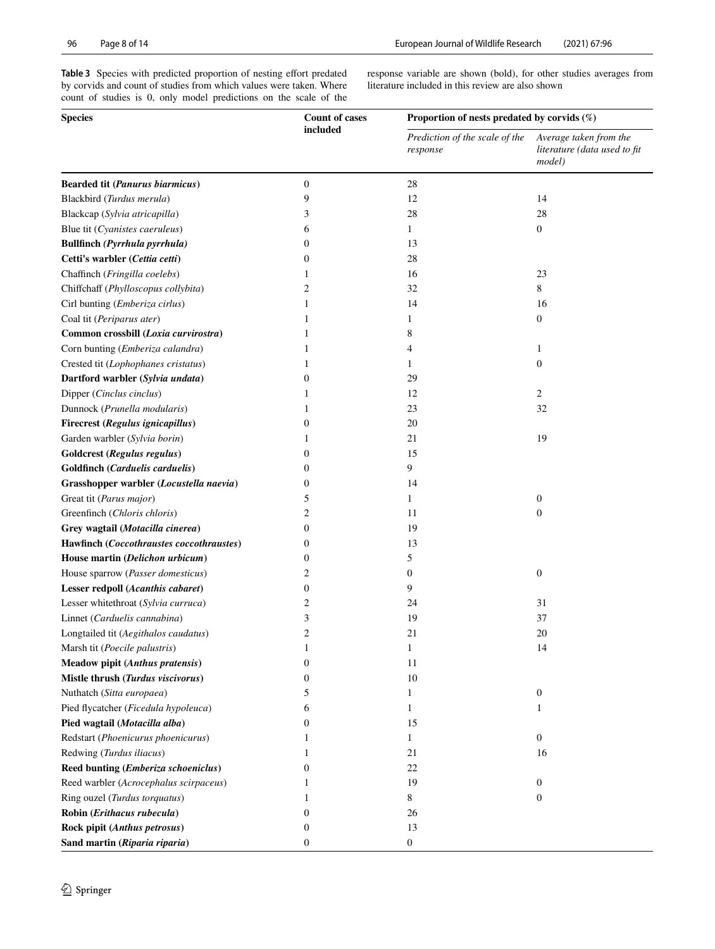<span id="page-7-0"></span>Table 3 Species with predicted proportion of nesting effort predated by corvids and count of studies from which values were taken. Where count of studies is 0, only model predictions on the scale of the response variable are shown (bold), for other studies averages from literature included in this review are also shown

| <b>Species</b>                           | <b>Count of cases</b> | Proportion of nests predated by corvids $(\%)$ |                                                                  |  |  |
|------------------------------------------|-----------------------|------------------------------------------------|------------------------------------------------------------------|--|--|
|                                          | included              | Prediction of the scale of the<br>response     | Average taken from the<br>literature (data used to fit<br>model) |  |  |
| <b>Bearded tit (Panurus biarmicus)</b>   | $\boldsymbol{0}$      | 28                                             |                                                                  |  |  |
| Blackbird (Turdus merula)                | 9                     | 12                                             | 14                                                               |  |  |
| Blackcap (Sylvia atricapilla)            | 3                     | 28                                             | 28                                                               |  |  |
| Blue tit (Cyanistes caeruleus)           | 6                     | 1                                              | $\boldsymbol{0}$                                                 |  |  |
| Bullfinch (Pyrrhula pyrrhula)            | $\boldsymbol{0}$      | 13                                             |                                                                  |  |  |
| Cetti's warbler (Cettia cetti)           | 0                     | 28                                             |                                                                  |  |  |
| Chaffinch (Fringilla coelebs)            | 1                     | 16                                             | 23                                                               |  |  |
| Chiffchaff (Phylloscopus collybita)      | 2                     | 32                                             | 8                                                                |  |  |
| Cirl bunting (Emberiza cirlus)           | 1                     | 14                                             | 16                                                               |  |  |
| Coal tit (Periparus ater)                | 1                     | 1                                              | $\boldsymbol{0}$                                                 |  |  |
| Common crossbill (Loxia curvirostra)     | 1                     | 8                                              |                                                                  |  |  |
| Corn bunting (Emberiza calandra)         | 1                     | 4                                              | 1                                                                |  |  |
| Crested tit (Lophophanes cristatus)      | 1                     | 1                                              | $\boldsymbol{0}$                                                 |  |  |
| Dartford warbler (Sylvia undata)         | 0                     | 29                                             |                                                                  |  |  |
| Dipper (Cinclus cinclus)                 | 1                     | 12                                             | 2                                                                |  |  |
| Dunnock (Prunella modularis)             | 1                     | 23                                             | 32                                                               |  |  |
| Firecrest (Regulus ignicapillus)         | $\boldsymbol{0}$      | 20                                             |                                                                  |  |  |
| Garden warbler (Sylvia borin)            | 1                     | 21                                             | 19                                                               |  |  |
| Goldcrest (Regulus regulus)              | $\boldsymbol{0}$      | 15                                             |                                                                  |  |  |
| Goldfinch (Carduelis carduelis)          | 0                     | 9                                              |                                                                  |  |  |
| Grasshopper warbler (Locustella naevia)  | $\boldsymbol{0}$      | 14                                             |                                                                  |  |  |
| Great tit (Parus major)                  | 5                     | $\mathbf{1}$                                   | $\boldsymbol{0}$                                                 |  |  |
| Greenfinch (Chloris chloris)             | 2                     | 11                                             | $\boldsymbol{0}$                                                 |  |  |
| Grey wagtail (Motacilla cinerea)         | 0                     | 19                                             |                                                                  |  |  |
| Hawfinch (Coccothraustes coccothraustes) | 0                     | 13                                             |                                                                  |  |  |
| House martin (Delichon urbicum)          | 0                     | 5                                              |                                                                  |  |  |
| House sparrow (Passer domesticus)        | 2                     | $\mathbf{0}$                                   | $\mathbf{0}$                                                     |  |  |
| Lesser redpoll (Acanthis cabaret)        | $\boldsymbol{0}$      | 9                                              |                                                                  |  |  |
| Lesser whitethroat (Sylvia curruca)      | 2                     | 24                                             | 31                                                               |  |  |
| Linnet (Carduelis cannabina)             | 3                     | 19                                             | 37                                                               |  |  |
| Longtailed tit (Aegithalos caudatus)     | 2                     | 21                                             | 20                                                               |  |  |
| Marsh tit (Poecile palustris)            | 1                     | $\mathbf{1}$                                   | 14                                                               |  |  |
| <b>Meadow pipit (Anthus pratensis)</b>   | $\boldsymbol{0}$      | 11                                             |                                                                  |  |  |
| Mistle thrush (Turdus viscivorus)        | 0                     | 10                                             |                                                                  |  |  |
| Nuthatch (Sitta europaea)                | 5                     | 1                                              | $\boldsymbol{0}$                                                 |  |  |
| Pied flycatcher (Ficedula hypoleuca)     | 6                     | 1                                              | 1                                                                |  |  |
| Pied wagtail (Motacilla alba)            | 0                     | 15                                             |                                                                  |  |  |
| Redstart (Phoenicurus phoenicurus)       | 1                     | 1                                              | $\boldsymbol{0}$                                                 |  |  |
| Redwing (Turdus iliacus)                 | 1                     | 21                                             | 16                                                               |  |  |
| Reed bunting (Emberiza schoeniclus)      | 0                     | $22\,$                                         |                                                                  |  |  |
| Reed warbler (Acrocephalus scirpaceus)   | 1                     | 19                                             | $\mathbf{0}$                                                     |  |  |
| Ring ouzel (Turdus torquatus)            | 1                     | 8                                              | $\boldsymbol{0}$                                                 |  |  |
| Robin (Erithacus rubecula)               | $\mathbf{0}$          | 26                                             |                                                                  |  |  |
| Rock pipit (Anthus petrosus)             | 0                     | 13                                             |                                                                  |  |  |
| Sand martin (Riparia riparia)            | $\boldsymbol{0}$      | $\boldsymbol{0}$                               |                                                                  |  |  |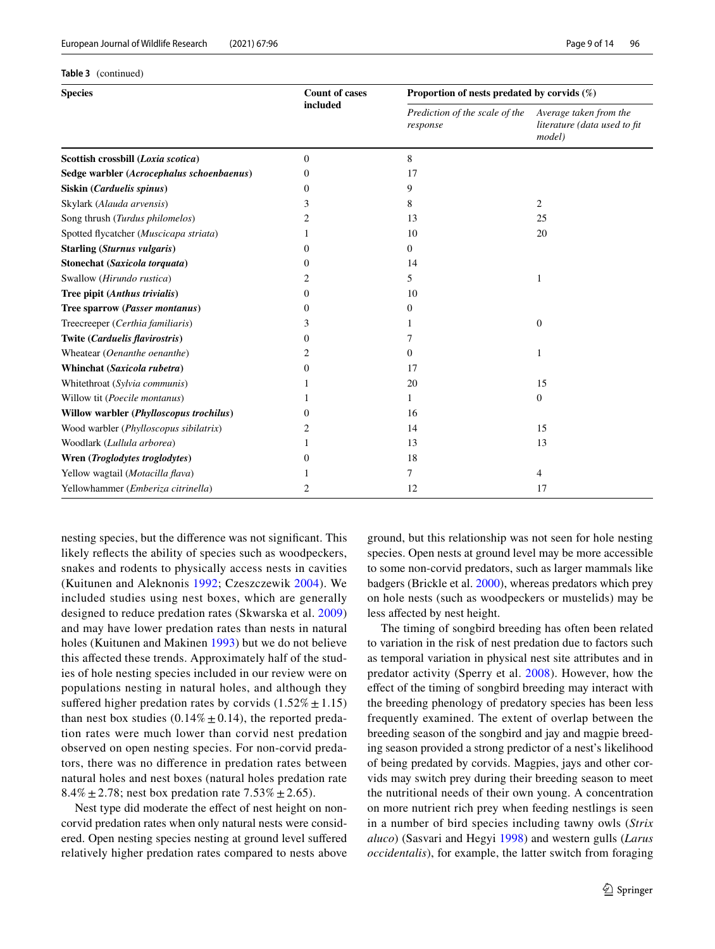**Table 3** (continued)

| <b>Species</b>                            | <b>Count of cases</b> | Proportion of nests predated by corvids $(\%)$ |                                                                  |  |  |
|-------------------------------------------|-----------------------|------------------------------------------------|------------------------------------------------------------------|--|--|
|                                           | included              | Prediction of the scale of the<br>response     | Average taken from the<br>literature (data used to fit<br>model) |  |  |
| Scottish crossbill (Loxia scotica)        | $\Omega$              | 8                                              |                                                                  |  |  |
| Sedge warbler (Acrocephalus schoenbaenus) | 0                     | 17                                             |                                                                  |  |  |
| Siskin (Carduelis spinus)                 | 0                     | 9                                              |                                                                  |  |  |
| Skylark (Alauda arvensis)                 | 3                     | 8                                              | 2                                                                |  |  |
| Song thrush (Turdus philomelos)           | 2                     | 13                                             | 25                                                               |  |  |
| Spotted flycatcher (Muscicapa striata)    |                       | 10                                             | 20                                                               |  |  |
| <b>Starling (Sturnus vulgaris)</b>        | 0                     | $\overline{0}$                                 |                                                                  |  |  |
| Stonechat (Saxicola torquata)             | 0                     | 14                                             |                                                                  |  |  |
| Swallow (Hirundo rustica)                 | 2                     | 5                                              | 1                                                                |  |  |
| Tree pipit (Anthus trivialis)             | 0                     | 10                                             |                                                                  |  |  |
| Tree sparrow (Passer montanus)            | 0                     | 0                                              |                                                                  |  |  |
| Treecreeper (Certhia familiaris)          | 3                     |                                                | $\overline{0}$                                                   |  |  |
| Twite (Carduelis flavirostris)            | 0                     | 7                                              |                                                                  |  |  |
| Wheatear (Oenanthe oenanthe)              | 2                     | 0                                              | 1                                                                |  |  |
| Whinchat (Saxicola rubetra)               | 0                     | 17                                             |                                                                  |  |  |
| Whitethroat (Sylvia communis)             |                       | 20                                             | 15                                                               |  |  |
| Willow tit (Poecile montanus)             |                       | $\mathbf{1}$                                   | $\mathbf{0}$                                                     |  |  |
| Willow warbler (Phylloscopus trochilus)   | 0                     | 16                                             |                                                                  |  |  |
| Wood warbler (Phylloscopus sibilatrix)    |                       | 14                                             | 15                                                               |  |  |
| Woodlark (Lullula arborea)                |                       | 13                                             | 13                                                               |  |  |
| Wren (Troglodytes troglodytes)            | 0                     | 18                                             |                                                                  |  |  |
| Yellow wagtail (Motacilla flava)          |                       | 7                                              | 4                                                                |  |  |
| Yellowhammer (Emberiza citrinella)        | 2                     | 12                                             | 17                                                               |  |  |

nesting species, but the diference was not signifcant. This likely refects the ability of species such as woodpeckers, snakes and rodents to physically access nests in cavities (Kuitunen and Aleknonis [1992;](#page-12-25) Czeszczewik [2004](#page-11-31)). We included studies using nest boxes, which are generally designed to reduce predation rates (Skwarska et al. [2009\)](#page-12-26) and may have lower predation rates than nests in natural holes (Kuitunen and Makinen [1993](#page-12-27)) but we do not believe this afected these trends. Approximately half of the studies of hole nesting species included in our review were on populations nesting in natural holes, and although they suffered higher predation rates by corvids  $(1.52\% \pm 1.15)$ than nest box studies  $(0.14\% \pm 0.14)$ , the reported predation rates were much lower than corvid nest predation observed on open nesting species. For non-corvid predators, there was no diference in predation rates between natural holes and nest boxes (natural holes predation rate 8.4%  $\pm$  2.78; nest box predation rate 7.53%  $\pm$  2.65).

Nest type did moderate the effect of nest height on noncorvid predation rates when only natural nests were considered. Open nesting species nesting at ground level sufered relatively higher predation rates compared to nests above

ground, but this relationship was not seen for hole nesting species. Open nests at ground level may be more accessible to some non-corvid predators, such as larger mammals like badgers (Brickle et al. [2000\)](#page-11-32), whereas predators which prey on hole nests (such as woodpeckers or mustelids) may be less afected by nest height.

The timing of songbird breeding has often been related to variation in the risk of nest predation due to factors such as temporal variation in physical nest site attributes and in predator activity (Sperry et al. [2008\)](#page-12-28). However, how the efect of the timing of songbird breeding may interact with the breeding phenology of predatory species has been less frequently examined. The extent of overlap between the breeding season of the songbird and jay and magpie breeding season provided a strong predictor of a nest's likelihood of being predated by corvids. Magpies, jays and other corvids may switch prey during their breeding season to meet the nutritional needs of their own young. A concentration on more nutrient rich prey when feeding nestlings is seen in a number of bird species including tawny owls (*Strix aluco*) (Sasvari and Hegyi [1998](#page-12-29)) and western gulls (*Larus occidentalis*), for example, the latter switch from foraging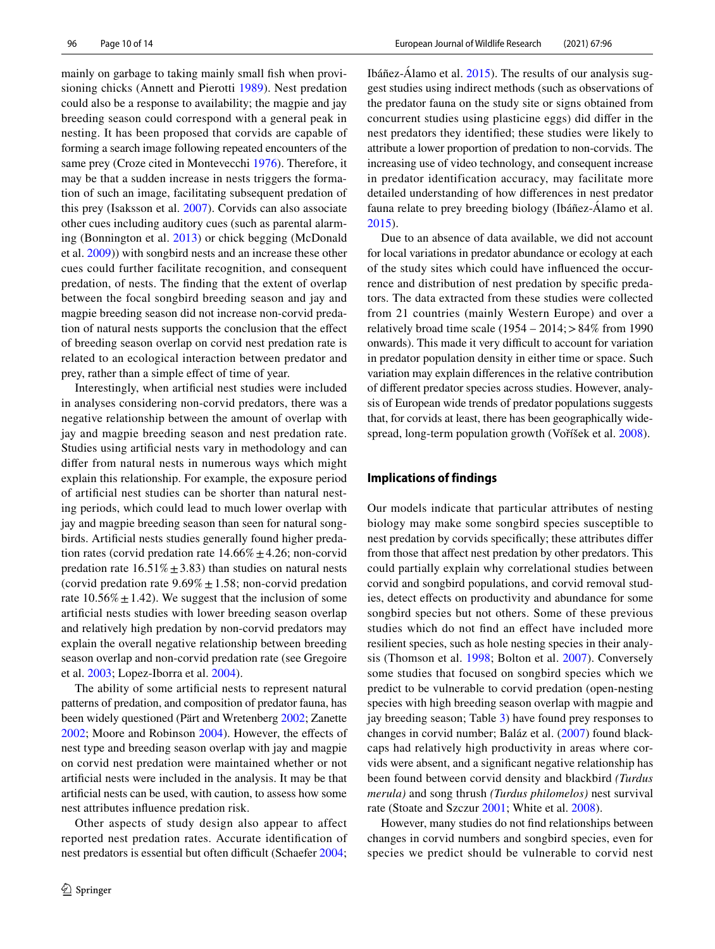mainly on garbage to taking mainly small fsh when provisioning chicks (Annett and Pierotti [1989\)](#page-10-6). Nest predation could also be a response to availability; the magpie and jay breeding season could correspond with a general peak in nesting. It has been proposed that corvids are capable of forming a search image following repeated encounters of the same prey (Croze cited in Montevecchi [1976\)](#page-12-30). Therefore, it may be that a sudden increase in nests triggers the formation of such an image, facilitating subsequent predation of this prey (Isaksson et al. [2007](#page-11-33)). Corvids can also associate other cues including auditory cues (such as parental alarming (Bonnington et al. [2013\)](#page-11-34) or chick begging (McDonald et al. [2009\)](#page-12-31)) with songbird nests and an increase these other cues could further facilitate recognition, and consequent predation, of nests. The fnding that the extent of overlap between the focal songbird breeding season and jay and magpie breeding season did not increase non-corvid predation of natural nests supports the conclusion that the efect of breeding season overlap on corvid nest predation rate is related to an ecological interaction between predator and prey, rather than a simple efect of time of year.

Interestingly, when artifcial nest studies were included in analyses considering non-corvid predators, there was a negative relationship between the amount of overlap with jay and magpie breeding season and nest predation rate. Studies using artifcial nests vary in methodology and can difer from natural nests in numerous ways which might explain this relationship. For example, the exposure period of artifcial nest studies can be shorter than natural nesting periods, which could lead to much lower overlap with jay and magpie breeding season than seen for natural songbirds. Artifcial nests studies generally found higher predation rates (corvid predation rate  $14.66\% \pm 4.26$ ; non-corvid predation rate  $16.51\% \pm 3.83$ ) than studies on natural nests (corvid predation rate  $9.69\% \pm 1.58$ ; non-corvid predation rate  $10.56\% \pm 1.42$ ). We suggest that the inclusion of some artifcial nests studies with lower breeding season overlap and relatively high predation by non-corvid predators may explain the overall negative relationship between breeding season overlap and non-corvid predation rate (see Gregoire et al. [2003](#page-11-35); Lopez-Iborra et al. [2004\)](#page-12-32).

The ability of some artifcial nests to represent natural patterns of predation, and composition of predator fauna, has been widely questioned (Pärt and Wretenberg [2002](#page-12-33); Zanette [2002](#page-13-6); Moore and Robinson [2004](#page-12-34)). However, the efects of nest type and breeding season overlap with jay and magpie on corvid nest predation were maintained whether or not artifcial nests were included in the analysis. It may be that artifcial nests can be used, with caution, to assess how some nest attributes infuence predation risk.

Other aspects of study design also appear to affect reported nest predation rates. Accurate identifcation of nest predators is essential but often difficult (Schaefer [2004](#page-12-11); Ibáñez-Álamo et al. [2015\)](#page-11-36). The results of our analysis suggest studies using indirect methods (such as observations of the predator fauna on the study site or signs obtained from concurrent studies using plasticine eggs) did difer in the nest predators they identifed; these studies were likely to attribute a lower proportion of predation to non-corvids. The increasing use of video technology, and consequent increase in predator identification accuracy, may facilitate more detailed understanding of how diferences in nest predator fauna relate to prey breeding biology (Ibáñez-Álamo et al. [2015](#page-11-36)).

Due to an absence of data available, we did not account for local variations in predator abundance or ecology at each of the study sites which could have infuenced the occurrence and distribution of nest predation by specifc predators. The data extracted from these studies were collected from 21 countries (mainly Western Europe) and over a relatively broad time scale  $(1954 - 2014) > 84\%$  from 1990 onwards). This made it very difficult to account for variation in predator population density in either time or space. Such variation may explain diferences in the relative contribution of diferent predator species across studies. However, analysis of European wide trends of predator populations suggests that, for corvids at least, there has been geographically widespread, long-term population growth (Voříšek et al. [2008\)](#page-13-7).

#### **Implications of findings**

Our models indicate that particular attributes of nesting biology may make some songbird species susceptible to nest predation by corvids specifcally; these attributes difer from those that afect nest predation by other predators. This could partially explain why correlational studies between corvid and songbird populations, and corvid removal studies, detect effects on productivity and abundance for some songbird species but not others. Some of these previous studies which do not fnd an efect have included more resilient species, such as hole nesting species in their analysis (Thomson et al. [1998;](#page-13-1) Bolton et al. [2007](#page-11-37)). Conversely some studies that focused on songbird species which we predict to be vulnerable to corvid predation (open-nesting species with high breeding season overlap with magpie and jay breeding season; Table [3](#page-7-0)) have found prey responses to changes in corvid number; Baláz et al. ([2007\)](#page-10-1) found blackcaps had relatively high productivity in areas where corvids were absent, and a signifcant negative relationship has been found between corvid density and blackbird *(Turdus merula)* and song thrush *(Turdus philomelos)* nest survival rate (Stoate and Szczur [2001;](#page-12-35) White et al. [2008](#page-13-3)).

However, many studies do not fnd relationships between changes in corvid numbers and songbird species, even for species we predict should be vulnerable to corvid nest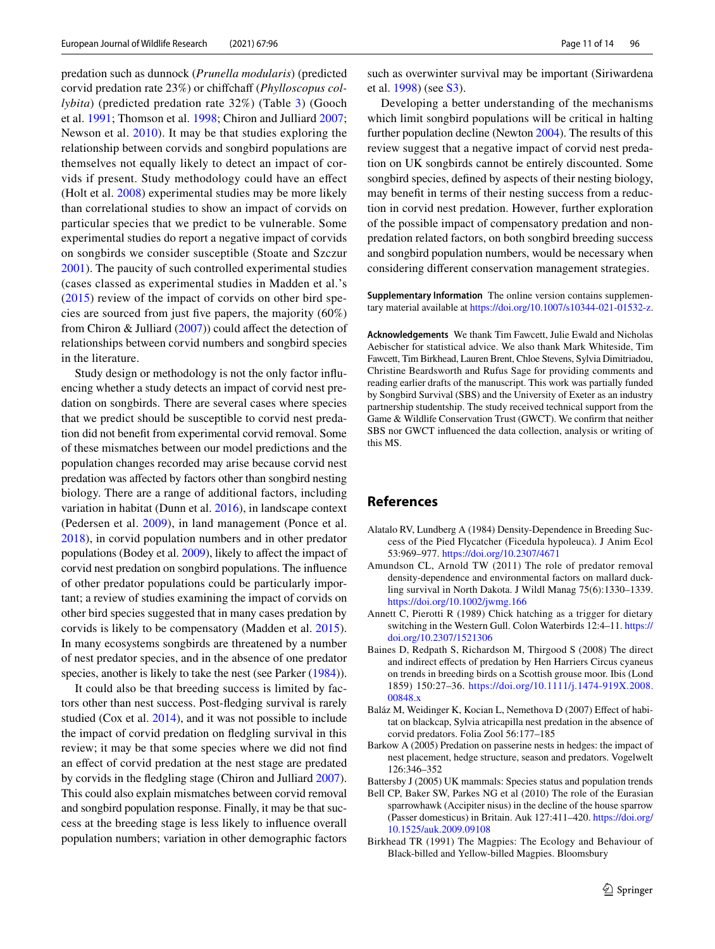predation such as dunnock (*Prunella modularis*) (predicted corvid predation rate 23%) or chiffchaff (*Phylloscopus collybita*) (predicted predation rate 32%) (Table [3](#page-7-0)) (Gooch et al. [1991](#page-11-5); Thomson et al. [1998;](#page-13-1) Chiron and Julliard [2007](#page-11-12); Newson et al. [2010\)](#page-12-9). It may be that studies exploring the relationship between corvids and songbird populations are themselves not equally likely to detect an impact of corvids if present. Study methodology could have an efect (Holt et al. [2008\)](#page-11-38) experimental studies may be more likely than correlational studies to show an impact of corvids on particular species that we predict to be vulnerable. Some experimental studies do report a negative impact of corvids on songbirds we consider susceptible (Stoate and Szczur [2001](#page-12-35)). The paucity of such controlled experimental studies (cases classed as experimental studies in Madden et al.'s [\(2015](#page-12-13)) review of the impact of corvids on other bird species are sourced from just fve papers, the majority (60%) from Chiron & Julliard  $(2007)$  $(2007)$ ) could affect the detection of relationships between corvid numbers and songbird species in the literature.

Study design or methodology is not the only factor infuencing whether a study detects an impact of corvid nest predation on songbirds. There are several cases where species that we predict should be susceptible to corvid nest predation did not beneft from experimental corvid removal. Some of these mismatches between our model predictions and the population changes recorded may arise because corvid nest predation was afected by factors other than songbird nesting biology. There are a range of additional factors, including variation in habitat (Dunn et al. [2016](#page-11-39)), in landscape context (Pedersen et al. [2009\)](#page-12-36), in land management (Ponce et al. [2018](#page-12-37)), in corvid population numbers and in other predator populations (Bodey et al. [2009](#page-11-40)), likely to afect the impact of corvid nest predation on songbird populations. The infuence of other predator populations could be particularly important; a review of studies examining the impact of corvids on other bird species suggested that in many cases predation by corvids is likely to be compensatory (Madden et al. [2015](#page-12-13)). In many ecosystems songbirds are threatened by a number of nest predator species, and in the absence of one predator species, another is likely to take the nest (see Parker  $(1984)$  $(1984)$ ).

It could also be that breeding success is limited by factors other than nest success. Post-fedging survival is rarely studied (Cox et al. [2014\)](#page-11-41), and it was not possible to include the impact of corvid predation on fedgling survival in this review; it may be that some species where we did not fnd an effect of corvid predation at the nest stage are predated by corvids in the fedgling stage (Chiron and Julliard [2007](#page-11-12)). This could also explain mismatches between corvid removal and songbird population response. Finally, it may be that success at the breeding stage is less likely to infuence overall population numbers; variation in other demographic factors such as overwinter survival may be important (Siriwardena et al. [1998\)](#page-12-38) (see S3).

Developing a better understanding of the mechanisms which limit songbird populations will be critical in halting further population decline (Newton [2004](#page-12-39)). The results of this review suggest that a negative impact of corvid nest predation on UK songbirds cannot be entirely discounted. Some songbird species, defned by aspects of their nesting biology, may beneft in terms of their nesting success from a reduction in corvid nest predation. However, further exploration of the possible impact of compensatory predation and nonpredation related factors, on both songbird breeding success and songbird population numbers, would be necessary when considering diferent conservation management strategies.

**Supplementary Information** The online version contains supplementary material available at <https://doi.org/10.1007/s10344-021-01532-z>.

**Acknowledgements** We thank Tim Fawcett, Julie Ewald and Nicholas Aebischer for statistical advice. We also thank Mark Whiteside, Tim Fawcett, Tim Birkhead, Lauren Brent, Chloe Stevens, Sylvia Dimitriadou, Christine Beardsworth and Rufus Sage for providing comments and reading earlier drafts of the manuscript. This work was partially funded by Songbird Survival (SBS) and the University of Exeter as an industry partnership studentship. The study received technical support from the Game & Wildlife Conservation Trust (GWCT). We confrm that neither SBS nor GWCT infuenced the data collection, analysis or writing of this MS.

# **References**

- <span id="page-10-8"></span>Alatalo RV, Lundberg A (1984) Density-Dependence in Breeding Success of the Pied Flycatcher (Ficedula hypoleuca). J Anim Ecol 53:969–977.<https://doi.org/10.2307/4671>
- <span id="page-10-3"></span>Amundson CL, Arnold TW (2011) The role of predator removal density-dependence and environmental factors on mallard duckling survival in North Dakota. J Wildl Manag 75(6):1330–1339. <https://doi.org/10.1002/jwmg.166>
- <span id="page-10-6"></span>Annett C, Pierotti R (1989) Chick hatching as a trigger for dietary switching in the Western Gull. Colon Waterbirds 12:4–11. [https://](https://doi.org/10.2307/1521306) [doi.org/10.2307/1521306](https://doi.org/10.2307/1521306)
- <span id="page-10-5"></span>Baines D, Redpath S, Richardson M, Thirgood S (2008) The direct and indirect efects of predation by Hen Harriers Circus cyaneus on trends in breeding birds on a Scottish grouse moor. Ibis (Lond 1859) 150:27–36. [https://doi.org/10.1111/j.1474-919X.2008.](https://doi.org/10.1111/j.1474-919X.2008.00848.x) [00848.x](https://doi.org/10.1111/j.1474-919X.2008.00848.x)
- <span id="page-10-1"></span>Baláz M, Weidinger K, Kocian L, Nemethova D (2007) Effect of habitat on blackcap, Sylvia atricapilla nest predation in the absence of corvid predators. Folia Zool 56:177–185
- <span id="page-10-7"></span>Barkow A (2005) Predation on passerine nests in hedges: the impact of nest placement, hedge structure, season and predators. Vogelwelt 126:346–352
- <span id="page-10-0"></span>Battersby J (2005) UK mammals: Species status and population trends
- <span id="page-10-2"></span>Bell CP, Baker SW, Parkes NG et al (2010) The role of the Eurasian sparrowhawk (Accipiter nisus) in the decline of the house sparrow (Passer domesticus) in Britain. Auk 127:411–420. [https://doi.org/](https://doi.org/10.1525/auk.2009.09108) [10.1525/auk.2009.09108](https://doi.org/10.1525/auk.2009.09108)
- <span id="page-10-4"></span>Birkhead TR (1991) The Magpies: The Ecology and Behaviour of Black-billed and Yellow-billed Magpies. Bloomsbury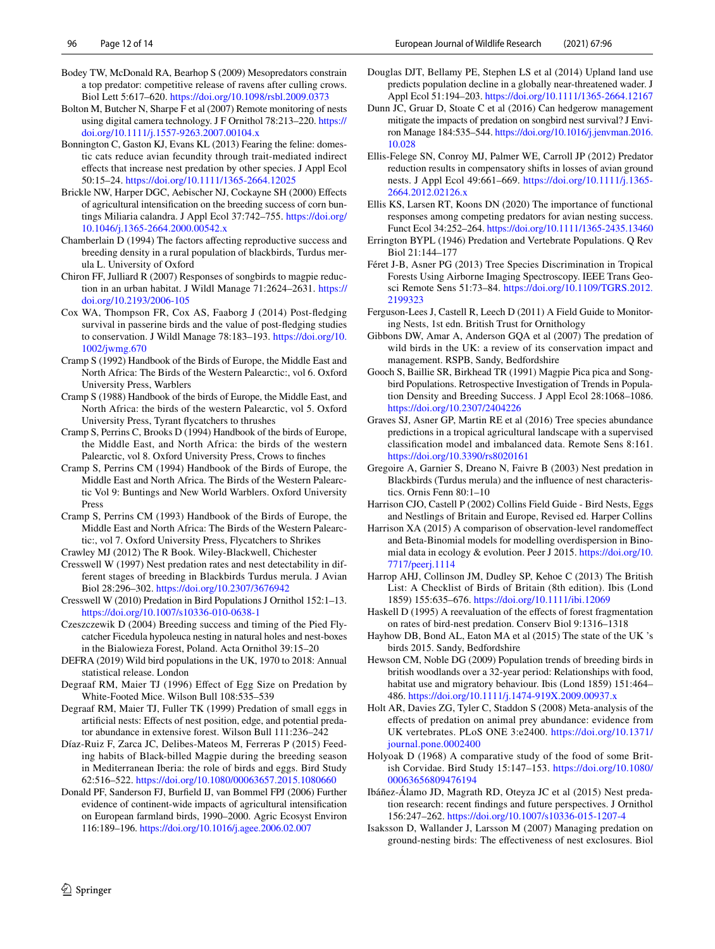- <span id="page-11-40"></span>Bodey TW, McDonald RA, Bearhop S (2009) Mesopredators constrain a top predator: competitive release of ravens after culling crows. Biol Lett 5:617–620. <https://doi.org/10.1098/rsbl.2009.0373>
- <span id="page-11-37"></span>Bolton M, Butcher N, Sharpe F et al (2007) Remote monitoring of nests using digital camera technology. J F Ornithol 78:213–220. [https://](https://doi.org/10.1111/j.1557-9263.2007.00104.x) [doi.org/10.1111/j.1557-9263.2007.00104.x](https://doi.org/10.1111/j.1557-9263.2007.00104.x)
- <span id="page-11-34"></span>Bonnington C, Gaston KJ, Evans KL (2013) Fearing the feline: domestic cats reduce avian fecundity through trait-mediated indirect efects that increase nest predation by other species. J Appl Ecol 50:15–24. <https://doi.org/10.1111/1365-2664.12025>
- <span id="page-11-32"></span>Brickle NW, Harper DGC, Aebischer NJ, Cockayne SH (2000) Efects of agricultural intensifcation on the breeding success of corn buntings Miliaria calandra. J Appl Ecol 37:742–755. [https://doi.org/](https://doi.org/10.1046/j.1365-2664.2000.00542.x) [10.1046/j.1365-2664.2000.00542.x](https://doi.org/10.1046/j.1365-2664.2000.00542.x)
- <span id="page-11-23"></span>Chamberlain D (1994) The factors afecting reproductive success and breeding density in a rural population of blackbirds, Turdus merula L. University of Oxford
- <span id="page-11-12"></span>Chiron FF, Julliard R (2007) Responses of songbirds to magpie reduction in an urban habitat. J Wildl Manage 71:2624–2631. [https://](https://doi.org/10.2193/2006-105) [doi.org/10.2193/2006-105](https://doi.org/10.2193/2006-105)
- <span id="page-11-41"></span>Cox WA, Thompson FR, Cox AS, Faaborg J (2014) Post-fedging survival in passerine birds and the value of post-fedging studies to conservation. J Wildl Manage 78:183–193. [https://doi.org/10.](https://doi.org/10.1002/jwmg.670) [1002/jwmg.670](https://doi.org/10.1002/jwmg.670)
- <span id="page-11-17"></span>Cramp S (1992) Handbook of the Birds of Europe, the Middle East and North Africa: The Birds of the Western Palearctic:, vol 6. Oxford University Press, Warblers
- <span id="page-11-16"></span>Cramp S (1988) Handbook of the birds of Europe, the Middle East, and North Africa: the birds of the western Palearctic, vol 5. Oxford University Press, Tyrant fycatchers to thrushes
- <span id="page-11-20"></span>Cramp S, Perrins C, Brooks D (1994) Handbook of the birds of Europe, the Middle East, and North Africa: the birds of the western Palearctic, vol 8. Oxford University Press, Crows to fnches
- <span id="page-11-19"></span>Cramp S, Perrins CM (1994) Handbook of the Birds of Europe, the Middle East and North Africa. The Birds of the Western Palearctic Vol 9: Buntings and New World Warblers. Oxford University Press
- <span id="page-11-18"></span>Cramp S, Perrins CM (1993) Handbook of the Birds of Europe, the Middle East and North Africa: The Birds of the Western Palearctic:, vol 7. Oxford University Press, Flycatchers to Shrikes
- <span id="page-11-30"></span><span id="page-11-27"></span>Crawley MJ (2012) The R Book. Wiley-Blackwell, Chichester Cresswell W (1997) Nest predation rates and nest detectability in different stages of breeding in Blackbirds Turdus merula. J Avian Biol 28:296–302.<https://doi.org/10.2307/3676942>
- <span id="page-11-9"></span>Cresswell W (2010) Predation in Bird Populations J Ornithol 152:1–13. <https://doi.org/10.1007/s10336-010-0638-1>
- <span id="page-11-31"></span>Czeszczewik D (2004) Breeding success and timing of the Pied Flycatcher Ficedula hypoleuca nesting in natural holes and nest-boxes in the Bialowieza Forest, Poland. Acta Ornithol 39:15–20
- <span id="page-11-2"></span>DEFRA (2019) Wild bird populations in the UK, 1970 to 2018: Annual statistical release. London
- <span id="page-11-13"></span>Degraaf RM, Maier TJ (1996) Efect of Egg Size on Predation by White-Footed Mice. Wilson Bull 108:535–539
- <span id="page-11-14"></span>Degraaf RM, Maier TJ, Fuller TK (1999) Predation of small eggs in artifcial nests: Efects of nest position, edge, and potential predator abundance in extensive forest. Wilson Bull 111:236–242
- <span id="page-11-11"></span>Díaz-Ruiz F, Zarca JC, Delibes-Mateos M, Ferreras P (2015) Feeding habits of Black-billed Magpie during the breeding season in Mediterranean Iberia: the role of birds and eggs. Bird Study 62:516–522.<https://doi.org/10.1080/00063657.2015.1080660>
- <span id="page-11-0"></span>Donald PF, Sanderson FJ, Burfeld IJ, van Bommel FPJ (2006) Further evidence of continent-wide impacts of agricultural intensifcation on European farmland birds, 1990–2000. Agric Ecosyst Environ 116:189–196.<https://doi.org/10.1016/j.agee.2006.02.007>
- <span id="page-11-3"></span>Douglas DJT, Bellamy PE, Stephen LS et al (2014) Upland land use predicts population decline in a globally near-threatened wader. J Appl Ecol 51:194–203.<https://doi.org/10.1111/1365-2664.12167>
- <span id="page-11-39"></span>Dunn JC, Gruar D, Stoate C et al (2016) Can hedgerow management mitigate the impacts of predation on songbird nest survival? J Environ Manage 184:535–544. [https://doi.org/10.1016/j.jenvman.2016.](https://doi.org/10.1016/j.jenvman.2016.10.028) [10.028](https://doi.org/10.1016/j.jenvman.2016.10.028)
- <span id="page-11-7"></span>Ellis-Felege SN, Conroy MJ, Palmer WE, Carroll JP (2012) Predator reduction results in compensatory shifts in losses of avian ground nests. J Appl Ecol 49:661–669. [https://doi.org/10.1111/j.1365-](https://doi.org/10.1111/j.1365-2664.2012.02126.x) [2664.2012.02126.x](https://doi.org/10.1111/j.1365-2664.2012.02126.x)
- <span id="page-11-8"></span>Ellis KS, Larsen RT, Koons DN (2020) The importance of functional responses among competing predators for avian nesting success. Funct Ecol 34:252–264.<https://doi.org/10.1111/1365-2435.13460>
- <span id="page-11-6"></span>Errington BYPL (1946) Predation and Vertebrate Populations. Q Rev Biol 21:144–177
- <span id="page-11-28"></span>Féret J-B, Asner PG (2013) Tree Species Discrimination in Tropical Forests Using Airborne Imaging Spectroscopy. IEEE Trans Geosci Remote Sens 51:73–84. [https://doi.org/10.1109/TGRS.2012.](https://doi.org/10.1109/TGRS.2012.2199323) [2199323](https://doi.org/10.1109/TGRS.2012.2199323)
- <span id="page-11-24"></span>Ferguson-Lees J, Castell R, Leech D (2011) A Field Guide to Monitoring Nests, 1st edn. British Trust for Ornithology
- <span id="page-11-4"></span>Gibbons DW, Amar A, Anderson GQA et al (2007) The predation of wild birds in the UK: a review of its conservation impact and management. RSPB, Sandy, Bedfordshire
- <span id="page-11-5"></span>Gooch S, Baillie SR, Birkhead TR (1991) Magpie Pica pica and Songbird Populations. Retrospective Investigation of Trends in Population Density and Breeding Success. J Appl Ecol 28:1068–1086. <https://doi.org/10.2307/2404226>
- <span id="page-11-29"></span>Graves SJ, Asner GP, Martin RE et al (2016) Tree species abundance predictions in a tropical agricultural landscape with a supervised classifcation model and imbalanced data. Remote Sens 8:161. <https://doi.org/10.3390/rs8020161>
- <span id="page-11-35"></span>Gregoire A, Garnier S, Dreano N, Faivre B (2003) Nest predation in Blackbirds (Turdus merula) and the infuence of nest characteristics. Ornis Fenn 80:1–10
- <span id="page-11-25"></span>Harrison CJO, Castell P (2002) Collins Field Guide - Bird Nests, Eggs and Nestlings of Britain and Europe, Revised ed. Harper Collins
- <span id="page-11-26"></span>Harrison XA (2015) A comparison of observation-level randomefect and Beta-Binomial models for modelling overdispersion in Binomial data in ecology & evolution. Peer J 2015. [https://doi.org/10.](https://doi.org/10.7717/peerj.1114) [7717/peerj.1114](https://doi.org/10.7717/peerj.1114)
- <span id="page-11-22"></span>Harrop AHJ, Collinson JM, Dudley SP, Kehoe C (2013) The British List: A Checklist of Birds of Britain (8th edition). Ibis (Lond 1859) 155:635–676. <https://doi.org/10.1111/ibi.12069>
- <span id="page-11-15"></span>Haskell D (1995) A reevaluation of the effects of forest fragmentation on rates of bird-nest predation. Conserv Biol 9:1316–1318
- <span id="page-11-21"></span>Hayhow DB, Bond AL, Eaton MA et al (2015) The state of the UK 's birds 2015. Sandy, Bedfordshire
- <span id="page-11-1"></span>Hewson CM, Noble DG (2009) Population trends of breeding birds in british woodlands over a 32-year period: Relationships with food, habitat use and migratory behaviour. Ibis (Lond 1859) 151:464– 486.<https://doi.org/10.1111/j.1474-919X.2009.00937.x>
- <span id="page-11-38"></span>Holt AR, Davies ZG, Tyler C, Staddon S (2008) Meta-analysis of the efects of predation on animal prey abundance: evidence from UK vertebrates. PLoS ONE 3:e2400. [https://doi.org/10.1371/](https://doi.org/10.1371/journal.pone.0002400) [journal.pone.0002400](https://doi.org/10.1371/journal.pone.0002400)
- <span id="page-11-10"></span>Holyoak D (1968) A comparative study of the food of some British Corvidae. Bird Study 15:147–153. [https://doi.org/10.1080/](https://doi.org/10.1080/00063656809476194) [00063656809476194](https://doi.org/10.1080/00063656809476194)
- <span id="page-11-36"></span>Ibáñez-Álamo JD, Magrath RD, Oteyza JC et al (2015) Nest predation research: recent fndings and future perspectives. J Ornithol 156:247–262. <https://doi.org/10.1007/s10336-015-1207-4>
- <span id="page-11-33"></span>Isaksson D, Wallander J, Larsson M (2007) Managing predation on ground-nesting birds: The efectiveness of nest exclosures. Biol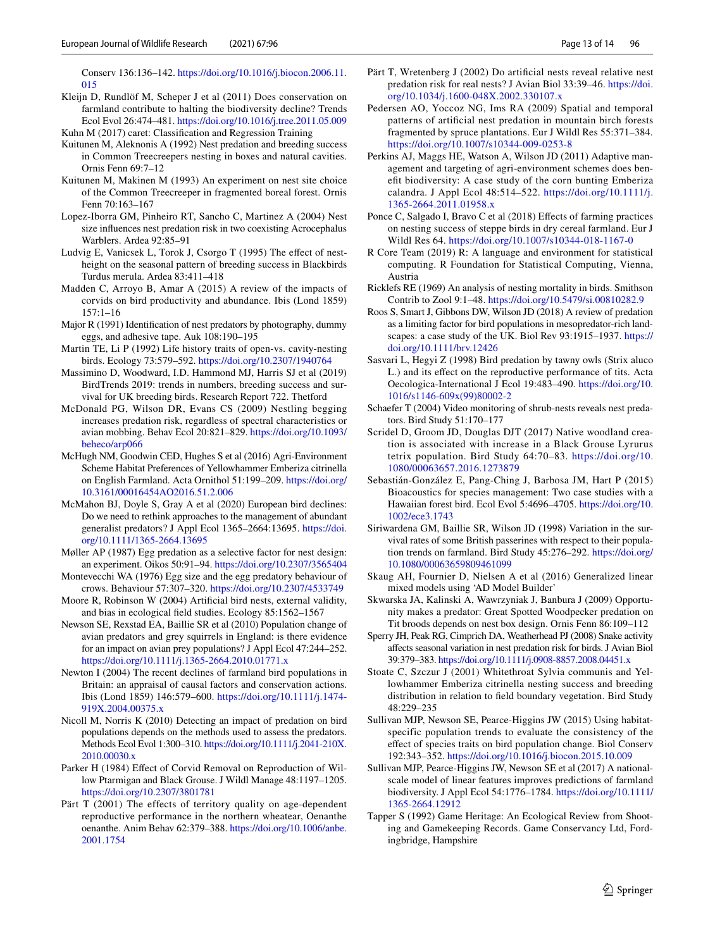Conserv 136:136–142. [https://doi.org/10.1016/j.biocon.2006.11.](https://doi.org/10.1016/j.biocon.2006.11.015) [015](https://doi.org/10.1016/j.biocon.2006.11.015)

- <span id="page-12-5"></span>Kleijn D, Rundlöf M, Scheper J et al (2011) Does conservation on farmland contribute to halting the biodiversity decline? Trends Ecol Evol 26:474–481. <https://doi.org/10.1016/j.tree.2011.05.009>
- <span id="page-12-23"></span>Kuhn M (2017) caret: Classifcation and Regression Training
- <span id="page-12-25"></span>Kuitunen M, Aleknonis A (1992) Nest predation and breeding success in Common Treecreepers nesting in boxes and natural cavities. Ornis Fenn 69:7–12
- <span id="page-12-27"></span>Kuitunen M, Makinen M (1993) An experiment on nest site choice of the Common Treecreeper in fragmented boreal forest. Ornis Fenn 70:163–167
- <span id="page-12-32"></span>Lopez-Iborra GM, Pinheiro RT, Sancho C, Martinez A (2004) Nest size infuences nest predation risk in two coexisting Acrocephalus Warblers. Ardea 92:85–91
- <span id="page-12-17"></span>Ludvig E, Vanicsek L, Torok J, Csorgo T (1995) The effect of nestheight on the seasonal pattern of breeding success in Blackbirds Turdus merula. Ardea 83:411–418
- <span id="page-12-13"></span>Madden C, Arroyo B, Amar A (2015) A review of the impacts of corvids on bird productivity and abundance. Ibis (Lond 1859) 157:1–16
- <span id="page-12-18"></span>Major R (1991) Identifcation of nest predators by photography, dummy eggs, and adhesive tape. Auk 108:190–195
- <span id="page-12-15"></span>Martin TE, Li P (1992) Life history traits of open-vs. cavity-nesting birds. Ecology 73:579–592.<https://doi.org/10.2307/1940764>
- <span id="page-12-1"></span>Massimino D, Woodward, I.D. Hammond MJ, Harris SJ et al (2019) BirdTrends 2019: trends in numbers, breeding success and survival for UK breeding birds. Research Report 722. Thetford
- <span id="page-12-31"></span>McDonald PG, Wilson DR, Evans CS (2009) Nestling begging increases predation risk, regardless of spectral characteristics or avian mobbing. Behav Ecol 20:821–829. [https://doi.org/10.1093/](https://doi.org/10.1093/beheco/arp066) [beheco/arp066](https://doi.org/10.1093/beheco/arp066)
- <span id="page-12-3"></span>McHugh NM, Goodwin CED, Hughes S et al (2016) Agri-Environment Scheme Habitat Preferences of Yellowhammer Emberiza citrinella on English Farmland. Acta Ornithol 51:199–209. [https://doi.org/](https://doi.org/10.3161/00016454AO2016.51.2.006) [10.3161/00016454AO2016.51.2.006](https://doi.org/10.3161/00016454AO2016.51.2.006)
- <span id="page-12-7"></span>McMahon BJ, Doyle S, Gray A et al (2020) European bird declines: Do we need to rethink approaches to the management of abundant generalist predators? J Appl Ecol 1365–2664:13695. [https://doi.](https://doi.org/10.1111/1365-2664.13695) [org/10.1111/1365-2664.13695](https://doi.org/10.1111/1365-2664.13695)
- <span id="page-12-24"></span>Møller AP (1987) Egg predation as a selective factor for nest design: an experiment. Oikos 50:91–94.<https://doi.org/10.2307/3565404>
- <span id="page-12-30"></span>Montevecchi WA (1976) Egg size and the egg predatory behaviour of crows. Behaviour 57:307–320.<https://doi.org/10.2307/4533749>
- <span id="page-12-34"></span>Moore R, Robinson W (2004) Artifcial bird nests, external validity, and bias in ecological feld studies. Ecology 85:1562–1567
- <span id="page-12-9"></span>Newson SE, Rexstad EA, Baillie SR et al (2010) Population change of avian predators and grey squirrels in England: is there evidence for an impact on avian prey populations? J Appl Ecol 47:244–252. <https://doi.org/10.1111/j.1365-2664.2010.01771.x>
- <span id="page-12-39"></span>Newton I (2004) The recent declines of farmland bird populations in Britain: an appraisal of causal factors and conservation actions. Ibis (Lond 1859) 146:579–600. [https://doi.org/10.1111/j.1474-](https://doi.org/10.1111/j.1474-919X.2004.00375.x) [919X.2004.00375.x](https://doi.org/10.1111/j.1474-919X.2004.00375.x)
- <span id="page-12-6"></span>Nicoll M, Norris K (2010) Detecting an impact of predation on bird populations depends on the methods used to assess the predators. Methods Ecol Evol 1:300–310. [https://doi.org/10.1111/j.2041-210X.](https://doi.org/10.1111/j.2041-210X.2010.00030.x) [2010.00030.x](https://doi.org/10.1111/j.2041-210X.2010.00030.x)
- <span id="page-12-12"></span>Parker H (1984) Effect of Corvid Removal on Reproduction of Willow Ptarmigan and Black Grouse. J Wildl Manage 48:1197–1205. <https://doi.org/10.2307/3801781>
- <span id="page-12-16"></span>Pärt T (2001) The effects of territory quality on age-dependent reproductive performance in the northern wheatear, Oenanthe oenanthe. Anim Behav 62:379–388. [https://doi.org/10.1006/anbe.](https://doi.org/10.1006/anbe.2001.1754) [2001.1754](https://doi.org/10.1006/anbe.2001.1754)
- <span id="page-12-33"></span>Pärt T, Wretenberg J (2002) Do artifcial nests reveal relative nest predation risk for real nests? J Avian Biol 33:39–46. [https://doi.](https://doi.org/10.1034/j.1600-048X.2002.330107.x) [org/10.1034/j.1600-048X.2002.330107.x](https://doi.org/10.1034/j.1600-048X.2002.330107.x)
- <span id="page-12-36"></span>Pedersen AO, Yoccoz NG, Ims RA (2009) Spatial and temporal patterns of artifcial nest predation in mountain birch forests fragmented by spruce plantations. Eur J Wildl Res 55:371–384. <https://doi.org/10.1007/s10344-009-0253-8>
- <span id="page-12-2"></span>Perkins AJ, Maggs HE, Watson A, Wilson JD (2011) Adaptive management and targeting of agri-environment schemes does beneft biodiversity: A case study of the corn bunting Emberiza calandra. J Appl Ecol 48:514–522. [https://doi.org/10.1111/j.](https://doi.org/10.1111/j.1365-2664.2011.01958.x) [1365-2664.2011.01958.x](https://doi.org/10.1111/j.1365-2664.2011.01958.x)
- <span id="page-12-37"></span>Ponce C, Salgado I, Bravo C et al (2018) Efects of farming practices on nesting success of steppe birds in dry cereal farmland. Eur J Wildl Res 64. <https://doi.org/10.1007/s10344-018-1167-0>
- <span id="page-12-21"></span>R Core Team (2019) R: A language and environment for statistical computing. R Foundation for Statistical Computing, Vienna, Austria
- <span id="page-12-14"></span>Ricklefs RE (1969) An analysis of nesting mortality in birds. Smithson Contrib to Zool 9:1–48. <https://doi.org/10.5479/si.00810282.9>
- <span id="page-12-10"></span>Roos S, Smart J, Gibbons DW, Wilson JD (2018) A review of predation as a limiting factor for bird populations in mesopredator-rich landscapes: a case study of the UK. Biol Rev 93:1915–1937. [https://](https://doi.org/10.1111/brv.12426) [doi.org/10.1111/brv.12426](https://doi.org/10.1111/brv.12426)
- <span id="page-12-29"></span>Sasvari L, Hegyi Z (1998) Bird predation by tawny owls (Strix aluco L.) and its effect on the reproductive performance of tits. Acta Oecologica-International J Ecol 19:483–490. [https://doi.org/10.](https://doi.org/10.1016/s1146-609x(99)80002-2) [1016/s1146-609x\(99\)80002-2](https://doi.org/10.1016/s1146-609x(99)80002-2)
- <span id="page-12-11"></span>Schaefer T (2004) Video monitoring of shrub-nests reveals nest predators. Bird Study 51:170–177
- <span id="page-12-4"></span>Scridel D, Groom JD, Douglas DJT (2017) Native woodland creation is associated with increase in a Black Grouse Lyrurus tetrix population. Bird Study 64:70–83. [https://doi.org/10.](https://doi.org/10.1080/00063657.2016.1273879) [1080/00063657.2016.1273879](https://doi.org/10.1080/00063657.2016.1273879)
- <span id="page-12-20"></span>Sebastián-González E, Pang-Ching J, Barbosa JM, Hart P (2015) Bioacoustics for species management: Two case studies with a Hawaiian forest bird. Ecol Evol 5:4696–4705. [https://doi.org/10.](https://doi.org/10.1002/ece3.1743) [1002/ece3.1743](https://doi.org/10.1002/ece3.1743)
- <span id="page-12-38"></span>Siriwardena GM, Baillie SR, Wilson JD (1998) Variation in the survival rates of some British passerines with respect to their population trends on farmland. Bird Study 45:276–292. [https://doi.org/](https://doi.org/10.1080/00063659809461099) [10.1080/00063659809461099](https://doi.org/10.1080/00063659809461099)
- <span id="page-12-22"></span>Skaug AH, Fournier D, Nielsen A et al (2016) Generalized linear mixed models using 'AD Model Builder'
- <span id="page-12-26"></span>Skwarska JA, Kalinski A, Wawrzyniak J, Banbura J (2009) Opportunity makes a predator: Great Spotted Woodpecker predation on Tit broods depends on nest box design. Ornis Fenn 86:109–112
- <span id="page-12-28"></span>Sperry JH, Peak RG, Cimprich DA, Weatherhead PJ (2008) Snake activity afects seasonal variation in nest predation risk for birds. J Avian Biol 39:379–383.<https://doi.org/10.1111/j.0908-8857.2008.04451.x>
- <span id="page-12-35"></span>Stoate C, Szczur J (2001) Whitethroat Sylvia communis and Yellowhammer Emberiza citrinella nesting success and breeding distribution in relation to feld boundary vegetation. Bird Study 48:229–235
- <span id="page-12-0"></span>Sullivan MJP, Newson SE, Pearce-Higgins JW (2015) Using habitatspecific population trends to evaluate the consistency of the efect of species traits on bird population change. Biol Conserv 192:343–352. <https://doi.org/10.1016/j.biocon.2015.10.009>
- <span id="page-12-19"></span>Sullivan MJP, Pearce-Higgins JW, Newson SE et al (2017) A nationalscale model of linear features improves predictions of farmland biodiversity. J Appl Ecol 54:1776–1784. [https://doi.org/10.1111/](https://doi.org/10.1111/1365-2664.12912) [1365-2664.12912](https://doi.org/10.1111/1365-2664.12912)
- <span id="page-12-8"></span>Tapper S (1992) Game Heritage: An Ecological Review from Shooting and Gamekeeping Records. Game Conservancy Ltd, Fordingbridge, Hampshire